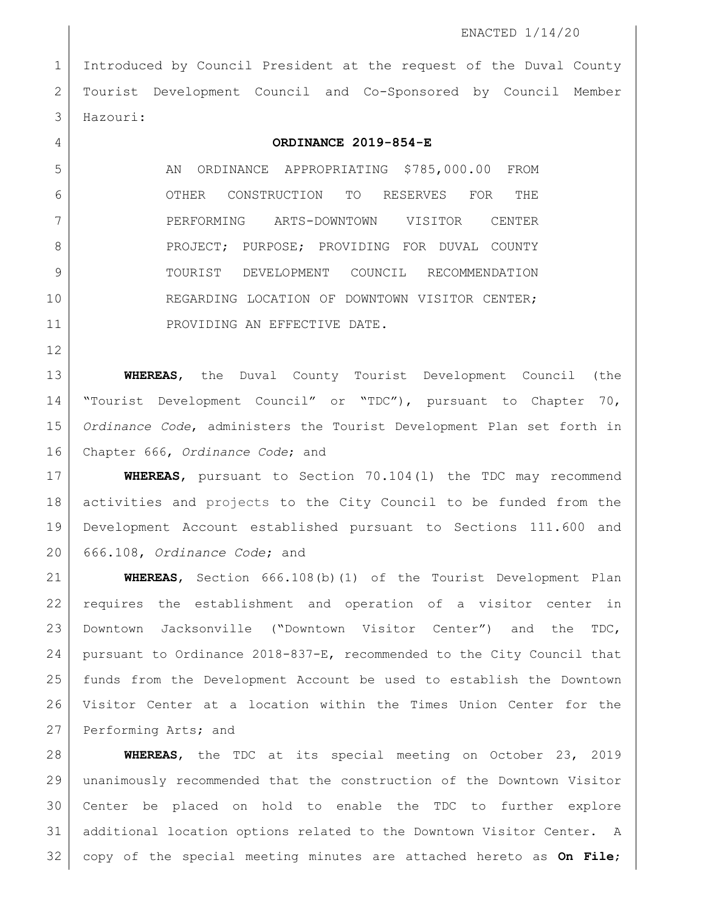Introduced by Council President at the request of the Duval County Tourist Development Council and Co-Sponsored by Council Member Hazouri:

## **ORDINANCE 2019-854-E**

5 AN ORDINANCE APPROPRIATING \$785,000.00 FROM OTHER CONSTRUCTION TO RESERVES FOR THE PERFORMING ARTS-DOWNTOWN VISITOR CENTER 8 | PROJECT; PURPOSE; PROVIDING FOR DUVAL COUNTY TOURIST DEVELOPMENT COUNCIL RECOMMENDATION 10 REGARDING LOCATION OF DOWNTOWN VISITOR CENTER; 11 PROVIDING AN EFFECTIVE DATE.

 **WHEREAS**, the Duval County Tourist Development Council (the "Tourist Development Council" or "TDC"), pursuant to Chapter 70, *Ordinance Code*, administers the Tourist Development Plan set forth in Chapter 666, *Ordinance Code*; and

 **WHEREAS**, pursuant to Section 70.104(l) the TDC may recommend activities and projects to the City Council to be funded from the Development Account established pursuant to Sections 111.600 and 666.108, *Ordinance Code*; and

 **WHEREAS**, Section 666.108(b)(1) of the Tourist Development Plan requires the establishment and operation of a visitor center in Downtown Jacksonville ("Downtown Visitor Center") and the TDC, pursuant to Ordinance 2018-837-E, recommended to the City Council that funds from the Development Account be used to establish the Downtown Visitor Center at a location within the Times Union Center for the 27 Performing Arts; and

 **WHEREAS**, the TDC at its special meeting on October 23, 2019 unanimously recommended that the construction of the Downtown Visitor Center be placed on hold to enable the TDC to further explore additional location options related to the Downtown Visitor Center. A copy of the special meeting minutes are attached hereto as **On File**;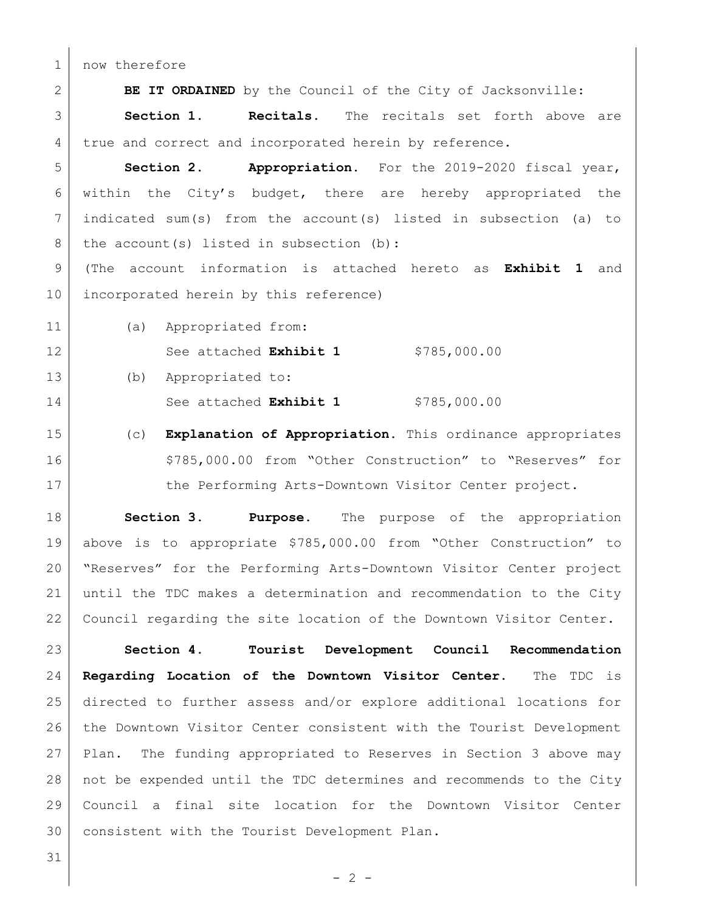1 now therefore

**BE IT ORDAINED** by the Council of the City of Jacksonville:

 **Section 1. Recitals.** The recitals set forth above are 4 true and correct and incorporated herein by reference.

 **Section 2. Appropriation.** For the 2019-2020 fiscal year, within the City's budget, there are hereby appropriated the indicated sum(s) from the account(s) listed in subsection (a) to 8 the account (s) listed in subsection (b):

 (The account information is attached hereto as **Exhibit 1** and 10 incorporated herein by this reference)

(a) Appropriated from:

12 See attached **Exhibit 1** \$785,000.00

(b) Appropriated to:

14 See attached **Exhibit 1** \$785,000.00

 (c) **Explanation of Appropriation.** This ordinance appropriates 16 | \$785,000.00 from "Other Construction" to "Reserves" for 17 the Performing Arts-Downtown Visitor Center project.

 **Section 3**. **Purpose.** The purpose of the appropriation above is to appropriate \$785,000.00 from "Other Construction" to "Reserves" for the Performing Arts-Downtown Visitor Center project until the TDC makes a determination and recommendation to the City Council regarding the site location of the Downtown Visitor Center.

 **Section 4. Tourist Development Council Recommendation Regarding Location of the Downtown Visitor Center.** The TDC is directed to further assess and/or explore additional locations for 26 the Downtown Visitor Center consistent with the Tourist Development Plan. The funding appropriated to Reserves in Section 3 above may not be expended until the TDC determines and recommends to the City Council a final site location for the Downtown Visitor Center consistent with the Tourist Development Plan.